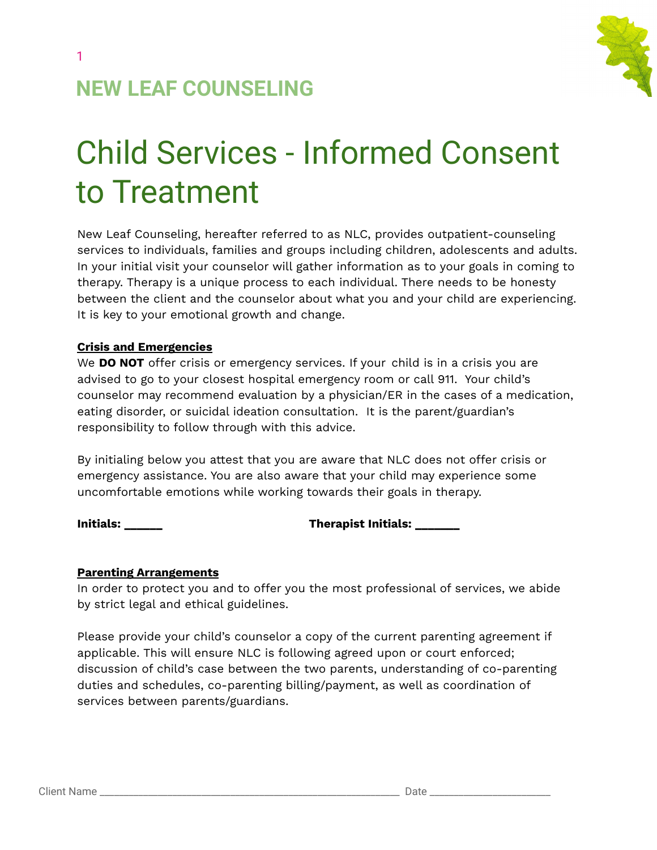

1

# Child Services - Informed Consent to Treatment

New Leaf Counseling, hereafter referred to as NLC, provides outpatient-counseling services to individuals, families and groups including children, adolescents and adults. In your initial visit your counselor will gather information as to your goals in coming to therapy. Therapy is a unique process to each individual. There needs to be honesty between the client and the counselor about what you and your child are experiencing. It is key to your emotional growth and change.

#### **Crisis and Emergencies**

We **DO NOT** offer crisis or emergency services. If your child is in a crisis you are advised to go to your closest hospital emergency room or call 911. Your child's counselor may recommend evaluation by a physician/ER in the cases of a medication, eating disorder, or suicidal ideation consultation. It is the parent/guardian's responsibility to follow through with this advice.

By initialing below you attest that you are aware that NLC does not offer crisis or emergency assistance. You are also aware that your child may experience some uncomfortable emotions while working towards their goals in therapy.

**Initials: \_\_\_\_\_\_ Therapist Initials: \_\_\_\_\_\_\_**

#### **Parenting Arrangements**

In order to protect you and to offer you the most professional of services, we abide by strict legal and ethical guidelines.

Please provide your child's counselor a copy of the current parenting agreement if applicable. This will ensure NLC is following agreed upon or court enforced; discussion of child's case between the two parents, understanding of co-parenting duties and schedules, co-parenting billing/payment, as well as coordination of services between parents/guardians.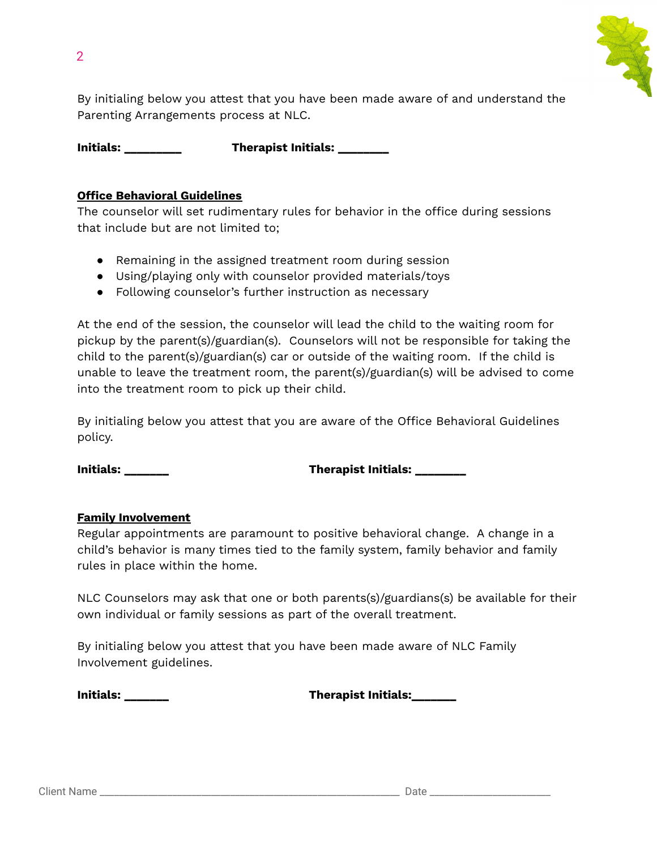

By initialing below you attest that you have been made aware of and understand the Parenting Arrangements process at NLC.

**Initials: \_\_\_\_\_\_\_\_\_ Therapist Initials: \_\_\_\_\_\_\_\_**

#### **Office Behavioral Guidelines**

The counselor will set rudimentary rules for behavior in the office during sessions that include but are not limited to;

- Remaining in the assigned treatment room during session
- Using/playing only with counselor provided materials/toys
- Following counselor's further instruction as necessary

At the end of the session, the counselor will lead the child to the waiting room for pickup by the parent(s)/guardian(s). Counselors will not be responsible for taking the child to the parent(s)/guardian(s) car or outside of the waiting room. If the child is unable to leave the treatment room, the parent(s)/guardian(s) will be advised to come into the treatment room to pick up their child.

By initialing below you attest that you are aware of the Office Behavioral Guidelines policy.

**Initials: \_\_\_\_\_\_\_ Therapist Initials: \_\_\_\_\_\_\_\_**

### **Family Involvement**

Regular appointments are paramount to positive behavioral change. A change in a child's behavior is many times tied to the family system, family behavior and family rules in place within the home.

NLC Counselors may ask that one or both parents(s)/guardians(s) be available for their own individual or family sessions as part of the overall treatment.

By initialing below you attest that you have been made aware of NLC Family Involvement guidelines.

**Initials: \_\_\_\_\_\_\_ Therapist Initials:\_\_\_\_\_\_\_**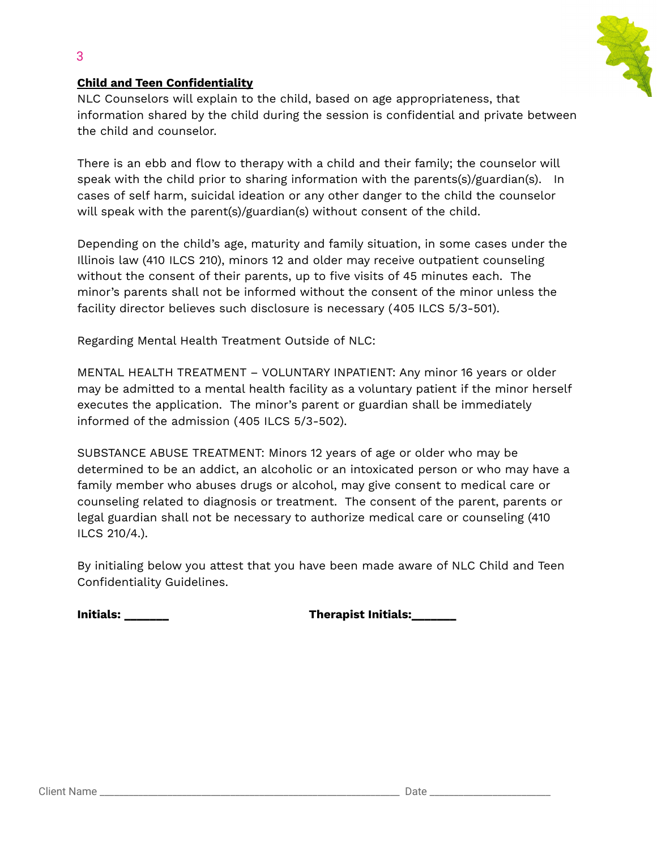

#### **Child and Teen Confidentiality**

3

NLC Counselors will explain to the child, based on age appropriateness, that information shared by the child during the session is confidential and private between the child and counselor.

There is an ebb and flow to therapy with a child and their family; the counselor will speak with the child prior to sharing information with the parents(s)/guardian(s). In cases of self harm, suicidal ideation or any other danger to the child the counselor will speak with the parent(s)/guardian(s) without consent of the child.

Depending on the child's age, maturity and family situation, in some cases under the Illinois law (410 ILCS 210), minors 12 and older may receive outpatient counseling without the consent of their parents, up to five visits of 45 minutes each. The minor's parents shall not be informed without the consent of the minor unless the facility director believes such disclosure is necessary (405 ILCS [5/3-501\)](http://www.ilga.gov/legislation/ilcs/ilcs5.asp?ActID=1496&ChapAct=405%26nbsp%3BILCS%26nbsp%3B5%2F&ChapterID=34&ChapterName=MENTAL+HEALTH&ActName=Mental+Health+and+Developmental+Disabilities+Code%2E).

Regarding Mental Health Treatment Outside of NLC:

MENTAL HEALTH TREATMENT – VOLUNTARY INPATIENT: Any minor 16 years or older may be admitted to a mental health facility as a voluntary patient if the minor herself executes the application. The minor's parent or guardian shall be immediately informed of the admission (405 ILCS [5/3-502\).](http://www.ilga.gov/legislation/ilcs/ilcs5.asp?ActID=1496&ChapAct=405%26nbsp%3BILCS%26nbsp%3B5%2F&ChapterID=34&ChapterName=MENTAL+HEALTH&ActName=Mental+Health+and+Developmental+Disabilities+Code%2E)

SUBSTANCE ABUSE TREATMENT: Minors 12 years of age or older who may be determined to be an addict, an alcoholic or an intoxicated person or who may have a family member who abuses drugs or alcohol, may give consent to medical care or counseling related to diagnosis or treatment. The consent of the parent, parents or legal guardian shall not be necessary to authorize medical care or counseling (410 ILCS 210/4.).

By initialing below you attest that you have been made aware of NLC Child and Teen Confidentiality Guidelines.

**Initials: \_\_\_\_\_\_\_ Therapist Initials:\_\_\_\_\_\_\_**